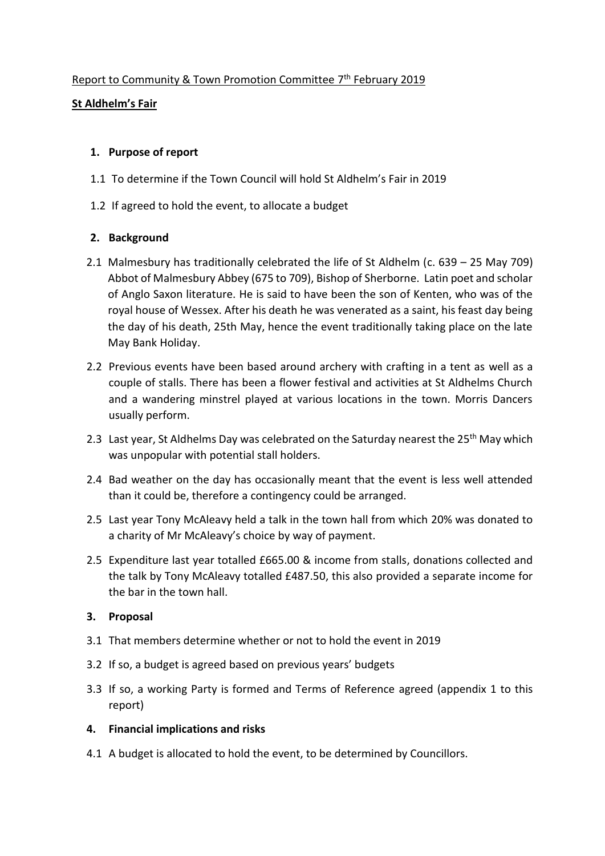## Report to Community & Town Promotion Committee 7<sup>th</sup> February 2019

## **St Aldhelm's Fair**

### **1. Purpose of report**

- 1.1 To determine if the Town Council will hold St Aldhelm's Fair in 2019
- 1.2 If agreed to hold the event, to allocate a budget

## **2. Background**

- 2.1 Malmesbury has traditionally celebrated the life of St Aldhelm (c. 639 25 May 709) Abbot of Malmesbury Abbey (675 to 709), Bishop of Sherborne. Latin poet and scholar of Anglo Saxon literature. He is said to have been the son of Kenten, who was of the royal house of Wessex. After his death he was venerated as a saint, his feast day being the day of his death, 25th May, hence the event traditionally taking place on the late May Bank Holiday.
- 2.2 Previous events have been based around archery with crafting in a tent as well as a couple of stalls. There has been a flower festival and activities at St Aldhelms Church and a wandering minstrel played at various locations in the town. Morris Dancers usually perform.
- 2.3 Last year, St Aldhelms Day was celebrated on the Saturday nearest the 25<sup>th</sup> May which was unpopular with potential stall holders.
- 2.4 Bad weather on the day has occasionally meant that the event is less well attended than it could be, therefore a contingency could be arranged.
- 2.5 Last year Tony McAleavy held a talk in the town hall from which 20% was donated to a charity of Mr McAleavy's choice by way of payment.
- 2.5 Expenditure last year totalled £665.00 & income from stalls, donations collected and the talk by Tony McAleavy totalled £487.50, this also provided a separate income for the bar in the town hall.

#### **3. Proposal**

- 3.1 That members determine whether or not to hold the event in 2019
- 3.2 If so, a budget is agreed based on previous years' budgets
- 3.3 If so, a working Party is formed and Terms of Reference agreed (appendix 1 to this report)

#### **4. Financial implications and risks**

4.1 A budget is allocated to hold the event, to be determined by Councillors.